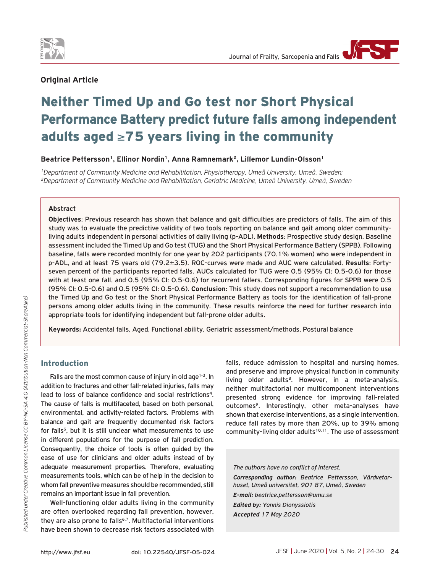

# **Original Article**

# Neither Timed Up and Go test nor Short Physical Performance Battery predict future falls among independent adults aged ≥75 years living in the community

### Beatrice Pettersson<sup>1</sup>, Ellinor Nordin<sup>1</sup>, Anna Ramnemark<sup>2</sup>, Lillemor Lundin-Olsson<sup>1</sup>

<sup>1</sup>Department of Community Medicine and Rehabilitation, Physiotherapy, Umeå University, Umeå, Sweden;<br><sup>2</sup>Department of Community Medicine and Rehabilitation, Geriatric Medicine, Umeå University, Umeå, Sweden

#### **Abstract**

**Objectives**: Previous research has shown that balance and gait difficulties are predictors of falls. The aim of this study was to evaluate the predictive validity of two tools reporting on balance and gait among older communityliving adults independent in personal activities of daily living (p-ADL). **Methods**: Prospective study design. Baseline assessment included the Timed Up and Go test (TUG) and the Short Physical Performance Battery (SPPB). Following baseline, falls were recorded monthly for one year by 202 participants (70.1% women) who were independent in p-ADL, and at least 75 years old (79.2±3.5). ROC-curves were made and AUC were calculated. **Results**: Fortyseven percent of the participants reported falls. AUCs calculated for TUG were 0.5 (95% CI: 0.5-0.6) for those with at least one fall, and 0.5 (95% CI: 0.5-0.6) for recurrent fallers. Corresponding figures for SPPB were 0.5 (95% CI: 0.5-0.6) and 0.5 (95% CI: 0.5-0.6). **Conclusion**: This study does not support a recommendation to use the Timed Up and Go test or the Short Physical Performance Battery as tools for the identification of fall-prone persons among older adults living in the community. These results reinforce the need for further research into appropriate tools for identifying independent but fall-prone older adults.

**Keywords:** Accidental falls, Aged, Functional ability, Geriatric assessment/methods, Postural balance

# Introduction

Falls are the most common cause of injury in old age $1-3$ . In addition to fractures and other fall-related injuries, falls may lead to loss of balance confidence and social restrictions<sup>4</sup>. The cause of falls is multifaceted, based on both personal, environmental, and activity-related factors. Problems with balance and gait are frequently documented risk factors for falls<sup>5</sup>, but it is still unclear what measurements to use in different populations for the purpose of fall prediction. Consequently, the choice of tools is often guided by the ease of use for clinicians and older adults instead of by adequate measurement properties. Therefore, evaluating measurements tools, which can be of help in the decision to whom fall preventive measures should be recommended, still remains an important issue in fall prevention.

Well-functioning older adults living in the community are often overlooked regarding fall prevention, however, they are also prone to falls<sup>6,7</sup>. Multifactorial interventions have been shown to decrease risk factors associated with

falls, reduce admission to hospital and nursing homes, and preserve and improve physical function in community living older adults<sup>8</sup>. However, in a meta-analysis, neither multifactorial nor multicomponent interventions presented strong evidence for improving fall-related outcomes<sup>9</sup>. Interestingly, other meta-analyses have shown that exercise interventions, as a single intervention, reduce fall rates by more than 20%, up to 39% among community-living older adults<sup>10,11</sup>. The use of assessment

*The authors have no conflict of interest. Corresponding author: Beatrice Pettersson, Vårdvetarhuset, Umeå universitet, 901 87, Umeå, Sweden E-mail: beatrice.pettersson@umu.se*

*Edited by: Yannis Dionyssiotis Accepted 17 May 2020*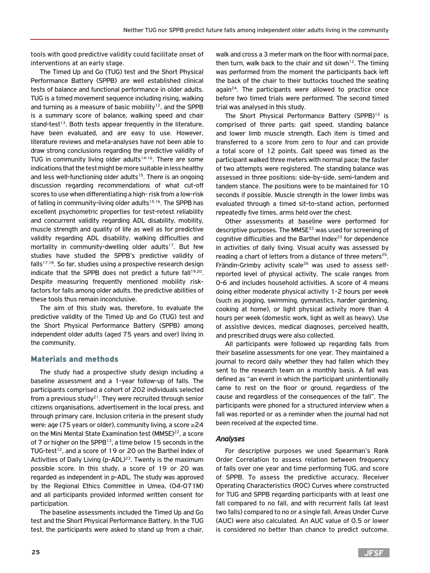tools with good predictive validity could facilitate onset of interventions at an early stage.

The Timed Up and Go (TUG) test and the Short Physical Performance Battery (SPPB) are well established clinical tests of balance and functional performance in older adults. TUG is a timed movement sequence including rising, walking and turning as a measure of basic mobility<sup>12</sup>, and the SPPB is a summary score of balance, walking speed and chair stand-test<sup>13</sup>. Both tests appear frequently in the literature, have been evaluated, and are easy to use. However, literature reviews and meta-analyses have not been able to draw strong conclusions regarding the predictive validity of TUG in community living older adults<sup>14-16</sup>. There are some indications that the test might be more suitable in less healthy and less well-functioning older adults<sup>15</sup>. There is an ongoing discussion regarding recommendations of what cut-off scores to use when differentiating a high- risk from a low-risk of falling in community-living older adults<sup>15,16</sup>. The SPPB has excellent psychometric properties for test-retest reliability and concurrent validity regarding ADL disability, mobility, muscle strength and quality of life as well as for predictive validity regarding ADL disability, walking difficulties and mortality in community-dwelling older adults<sup>17</sup>. But few studies have studied the SPPB's predictive validity of falls<sup>17,18</sup>. So far, studies using a prospective research design indicate that the SPPB does not predict a future fall<sup>19,20</sup>. Despite measuring frequently mentioned mobility riskfactors for falls among older adults, the predictive abilities of these tools thus remain inconclusive.

The aim of this study was, therefore, to evaluate the predictive validity of the Timed Up and Go (TUG) test and the Short Physical Performance Battery (SPPB) among independent older adults (aged 75 years and over) living in the community.

#### Materials and methods

The study had a prospective study design including a baseline assessment and a 1-year follow-up of falls. The participants comprised a cohort of 202 individuals selected from a previous study<sup>21</sup>. They were recruited through senior citizens organisations, advertisement in the local press, and through primary care. Inclusion criteria in the present study were: age (75 years or older), community living, a score ≥24 on the Mini Mental State Examination test (MMSE)<sup>22</sup>, a score of 7 or higher on the SPPB<sup>13</sup>, a time below 15 seconds in the TUG-test<sup>12</sup>, and a score of 19 or 20 on the Barthel Index of Activities of Daily Living (p-ADL)<sup>23</sup>. Twenty is the maximum possible score. In this study, a score of 19 or 20 was regarded as independent in p-ADL. The study was approved by the Regional Ethics Committee in Umea, (04-071M) and all participants provided informed written consent for participation.

The baseline assessments included the Timed Up and Go test and the Short Physical Performance Battery. In the TUG test, the participants were asked to stand up from a chair,

walk and cross a 3 meter mark on the floor with normal pace, then turn, walk back to the chair and sit down<sup>12</sup>. The timing was performed from the moment the participants back left the back of the chair to their buttocks touched the seating  $aqain<sup>24</sup>$ . The participants were allowed to practice once before two timed trials were performed. The second timed trial was analysed in this study.

The Short Physical Performance Battery (SPPB)<sup>13</sup> is comprised of three parts: gait speed, standing balance and lower limb muscle strength. Each item is timed and transferred to a score from zero to four and can provide a total score of 12 points. Gait speed was timed as the participant walked three meters with normal pace; the faster of two attempts were registered. The standing balance was assessed in three positions: side-by-side, semi-tandem and tandem stance. The positions were to be maintained for 10 seconds if possible. Muscle strength in the lower limbs was evaluated through a timed sit-to-stand action, performed repeatedly five times, arms held over the chest.

Other assessments at baseline were performed for descriptive purposes. The MMSE<sup>22</sup> was used for screening of cognitive difficulties and the Barthel Index $23$  for dependence in activities of daily living. Visual acuity was assessed by reading a chart of letters from a distance of three meters<sup>25</sup>. Frändin-Grimby activity scale<sup>26</sup> was used to assess selfreported level of physical activity. The scale ranges from 0-6 and includes household activities. A score of 4 means doing either moderate physical activity 1-2 hours per week (such as jogging, swimming, gymnastics, harder gardening, cooking at home), or light physical activity more than 4 hours per week (domestic work, light as well as heavy). Use of assistive devices, medical diagnoses, perceived health, and prescribed drugs were also collected.

All participants were followed up regarding falls from their baseline assessments for one year. They maintained a journal to record daily whether they had fallen which they sent to the research team on a monthly basis. A fall was defined as "an event in which the participant unintentionally came to rest on the floor or ground, regardless of the cause and regardless of the consequences of the fall". The participants were phoned for a structured interview when a fall was reported or as a reminder when the journal had not been received at the expected time.

#### *Analyses*

For descriptive purposes we used Spearman's Rank Order Correlation to assess relation between frequency of falls over one year and time performing TUG, and score of SPPB. To assess the predictive accuracy, Receiver Operating Characteristics (ROC) Curves where constructed for TUG and SPPB regarding participants with at least one fall compared to no fall, and with recurrent falls (at least two falls) compared to no or a single fall. Areas Under Curve (AUC) were also calculated. An AUC value of 0.5 or lower is considered no better than chance to predict outcome.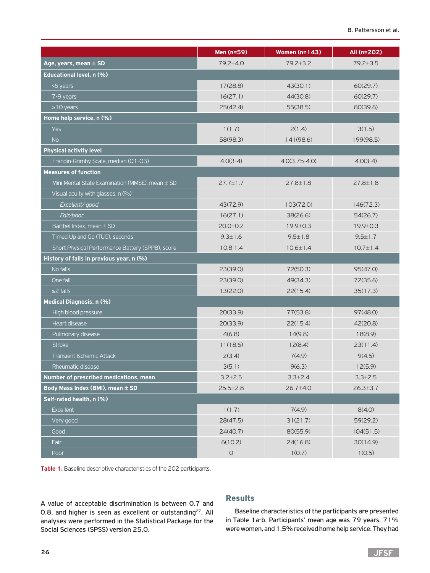|                                                     | Men (n=59)           | <b>Women (n=143)</b> | All (n=202)    |
|-----------------------------------------------------|----------------------|----------------------|----------------|
| Age, years, mean $\pm$ SD                           | 79.2±4.0             | $79.2 + 3.2$         | 79.2±3.5       |
| Educational level, n (%)                            |                      |                      |                |
| <6 years                                            | 17(28.8)             | 43(30.1)             | 60(29.7)       |
| 7-9 years                                           | 16(27.1)             | 44(30.8)             | 60(29.7)       |
| $\geq$ 10 years                                     | 25(42.4)             | 55(38.5)             | 80(39.6)       |
| Home help service, n (%)                            |                      |                      |                |
| Yes                                                 | 1(1.7)               | 2(1.4)               | 3(1.5)         |
| <b>No</b>                                           | 58(98.3)             | 141(98.6)            | 199(98.5)      |
| <b>Physical activity level</b>                      |                      |                      |                |
| Frändin-Grimby Scale, median (Q1-Q3)                | $4.0(3-4)$           | $4.0(3.75 - 4.0)$    | $4.0(3-4)$     |
| <b>Measures of function</b>                         |                      |                      |                |
| Mini Mental State Examination (MMSE), mean $\pm$ SD | $27.7 \pm 1.7$       | $27.8 \pm 1.8$       | $27.8 \pm 1.8$ |
| Visual acuity with glasses, n (%)                   |                      |                      |                |
| Excellent/good                                      | 43(72.9)             | 103(72.0)            | 146(72.3)      |
| Fair/poor                                           | 16(27.1)             | 38(26.6)             | 54(26.7)       |
| Barthel Index, mean $\pm$ SD                        | $20.0 + 0.2$         | 19.9±0.3             | 19.9±0.3       |
| Timed Up and Go (TUG), seconds                      | $9.3 \pm 1.6$        | $9.5 \pm 1.8$        | $9.5 \pm 1.7$  |
| Short Physical Performance Battery (SPPB), score    | 10.8 1.4             | $10.6 \pm 1.4$       | $10.7 \pm 1.4$ |
| History of falls in previous year, n (%)            |                      |                      |                |
| No falls                                            | 23(39.0)             | 72(50.3)             | 95(47.0)       |
| One fall                                            | 23(39.0)             | 49(34.3)             | 72(35.6)       |
| $\geq$ 2 falls                                      | 13(22.0)             | 22(15.4)             | 35(17.3)       |
| Medical Diagnosis, n (%)                            |                      |                      |                |
| High blood pressure                                 | 20(33.9)             | 77(53.8)             | 97(48.0)       |
| Heart disease                                       | 20(33.9)             | 22(15.4)             | 42(20.8)       |
| Pulmonary disease                                   | 4(6.8)               | 14(9.8)              | 18(8.9)        |
| <b>Stroke</b>                                       | 11(18.6)             | 12(8.4)              | 23(11.4)       |
| <b>Transient Ischemic Attack</b>                    | 2(3.4)               | 7(4.9)               | 9(4.5)         |
| Rheumatic disease                                   | 3(5.1)               | 9(6.3)               | 12(5.9)        |
| Number of prescribed medications, mean              | $3.2 \pm 2.5$        | $3.3 \pm 2.4$        | $3.3 \pm 2.5$  |
| Body Mass Index (BMI), mean ± SD                    | $25.5 \pm 2.8$       | 26.7±4.0             | $26.3 \pm 3.7$ |
| Self-rated health, n (%)                            |                      |                      |                |
| <b>Excellent</b>                                    | 1(1.7)               | 7(4.9)               | 8(4.0)         |
| Very good                                           | 28(47.5)             | 31(21.7)             | 59(29.2)       |
| Good                                                | 24(40.7)             | 80(55.9)             | 104(51.5)      |
| Fair                                                | 6(10.2)              | 24(16.8)             | 30(14.9)       |
| Poor                                                | $\hbox{\large\it O}$ | 1(0.7)               | 1(0.5)         |

**Table 1.** Baseline descriptive characteristics of the 202 participants.

A value of acceptable discrimination is between 0.7 and 0.8, and higher is seen as excellent or outstanding<sup>27</sup>. All analyses were performed in the Statistical Package for the Social Sciences (SPSS) version 25.0.

### Results

Baseline characteristics of the participants are presented in Table 1a-b. Participants' mean age was 79 years, 71% were women, and 1.5% received home help service. They had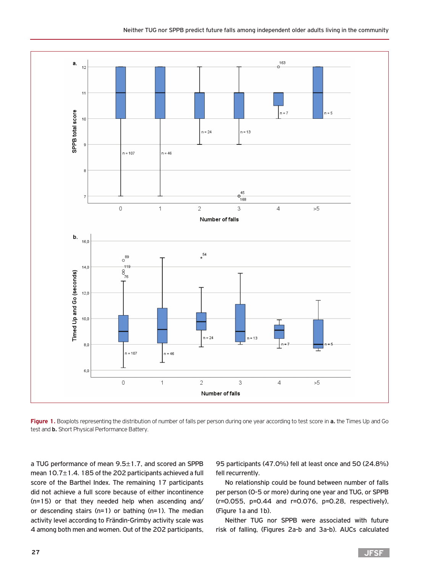

**Figure 1.** Boxplots representing the distribution of number of falls per person during one year according to test score in **a.** the Times Up and Go test and **b.** Short Physical Performance Battery.

a TUG performance of mean 9.5±1.7, and scored an SPPB mean 10.7±1.4. 185 of the 202 participants achieved a full score of the Barthel Index. The remaining 17 participants did not achieve a full score because of either incontinence (n=15) or that they needed help when ascending and/ or descending stairs (n=1) or bathing (n=1). The median activity level according to Frändin-Grimby activity scale was 4 among both men and women. Out of the 202 participants,

95 participants (47.0%) fell at least once and 50 (24.8%) fell recurrently.

No relationship could be found between number of falls per person (0-5 or more) during one year and TUG, or SPPB (r=0.055, p=0.44 and r=0.076, p=0.28, respectively), (Figure 1a and 1b).

Neither TUG nor SPPB were associated with future risk of falling, (Figures 2a-b and 3a-b). AUCs calculated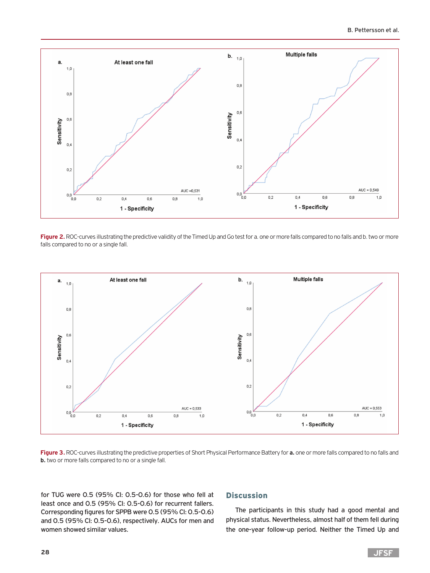

Figure 2. ROC-curves illustrating the predictive validity of the Timed Up and Go test for a. one or more falls compared to no falls and b. two or more falls compared to no or a single fall.



**Figure 3.** ROC-curves illustrating the predictive properties of Short Physical Performance Battery for **a.** one or more falls compared to no falls and **b.** two or more falls compared to no or a single fall.

for TUG were 0.5 (95% CI: 0.5-0.6) for those who fell at least once and 0.5 (95% CI: 0.5-0.6) for recurrent fallers. Corresponding figures for SPPB were 0.5 (95% CI: 0.5-0.6) and 0.5 (95% CI: 0.5-0.6), respectively. AUCs for men and women showed similar values.

## **Discussion**

The participants in this study had a good mental and physical status. Nevertheless, almost half of them fell during the one-year follow-up period. Neither the Timed Up and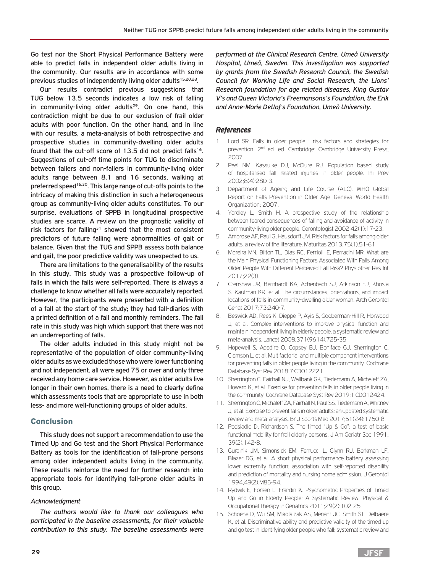Go test nor the Short Physical Performance Battery were able to predict falls in independent older adults living in the community. Our results are in accordance with some previous studies of independently living older adults<sup>15,20,28</sup>.

Our results contradict previous suggestions that TUG below 13.5 seconds indicates a low risk of falling in community-living older adults<sup>29</sup>. On one hand, this contradiction might be due to our exclusion of frail older adults with poor function. On the other hand, and in line with our results, a meta-analysis of both retrospective and prospective studies in community-dwelling older adults found that the cut-off score of 13.5 did not predict falls<sup>16</sup>. Suggestions of cut-off time points for TUG to discriminate between fallers and non-fallers in community-living older adults range between 8.1 and 16 seconds, walking at preferred speed<sup>16,30</sup>. This large range of cut-offs points to the intricacy of making this distinction in such a heterogeneous group as community-living older adults constitutes. To our surprise, evaluations of SPPB in longitudinal prospective studies are scarce. A review on the prognostic validity of risk factors for falling<sup>31</sup> showed that the most consistent predictors of future falling were abnormalities of gait or balance. Given that the TUG and SPPB assess both balance and gait, the poor predictive validity was unexpected to us.

There are limitations to the generalisability of the results in this study. This study was a prospective follow-up of falls in which the falls were self-reported. There is always a challenge to know whether all falls were accurately reported. However, the participants were presented with a definition of a fall at the start of the study; they had fall-diaries with a printed definition of a fall and monthly reminders. The fall rate in this study was high which support that there was not an underreporting of falls.

The older adults included in this study might not be representative of the population of older community-living older adults as we excluded those who were lower functioning and not independent, all were aged 75 or over and only three received any home care service. However, as older adults live longer in their own homes, there is a need to clearly define which assessments tools that are appropriate to use in both less- and more well-functioning groups of older adults.

#### Conclusion

This study does not support a recommendation to use the Timed Up and Go test and the Short Physical Performance Battery as tools for the identification of fall-prone persons among older independent adults living in the community. These results reinforce the need for further research into appropriate tools for identifying fall-prone older adults in this group.

#### *Acknowledgment*

*The authors would like to thank our colleagues who participated in the baseline assessments, for their valuable contribution to this study. The baseline assessments were*  *performed at the Clinical Research Centre, Umeå University Hospital, Umeå, Sweden. This investigation was supported by grants from the Swedish Research Council, the Swedish Council for Working Life and Social Research, the Lions' Research foundation for age related diseases, King Gustav V's and Queen Victoria's Freemansons's Foundation, the Erik and Anne-Marie Detlof's Foundation, Umeå University.* 

#### *References*

- 1. Lord SR. Falls in older people : risk factors and strategies for prevention. 2nd ed. ed. Cambridge: Cambridge University Press; 2007.
- 2. Peel NM, Kassulke DJ, McClure RJ. Population based study of hospitalised fall related injuries in older people. Inj Prev 2002;8(4):280-3.
- 3. Department of Ageing and Life Course (ALC). WHO Global Report on Falls Prevention in Older Age. Geneva: World Health Organization; 2007.
- 4. Yardley L, Smith H. A prospective study of the relationship between feared consequences of falling and avoidance of activity in community-living older people. Gerontologist 2002;42(1):17-23.
- 5. Ambrose AF, Paul G, Hausdorff JM. Risk factors for falls among older adults: a review of the literature. Maturitas 2013;75(1):51-61.
- 6. Moreira MN, Bilton TL, Dias RC, Ferriolli E, Perracini MR. What are the Main Physical Functioning Factors Associated With Falls Among Older People With Different Perceived Fall Risk? Physiother Res Int 2017;22(3).
- 7. Crenshaw JR, Bernhardt KA, Achenbach SJ, Atkinson EJ, Khosla S, Kaufman KR, et al. The circumstances, orientations, and impact locations of falls in community-dwelling older women. Arch Gerontol Geriat 2017;73:240-7.
- 8. Beswick AD, Rees K, Dieppe P, Ayis S, Gooberman-Hill R, Horwood J, et al. Complex interventions to improve physical function and maintain independent living in elderly people: a systematic review and meta-analysis. Lancet 2008;371(9614):725-35.
- 9. Hopewell S, Adedire O, Copsey BJ, Boniface GJ, Sherrington C, Clemson L, et al. Multifactorial and multiple component interventions for preventing falls in older people living in the community. Cochrane Database Syst Rev 2018;7:CD012221.
- 10. Sherrington C, Fairhall NJ, Wallbank GK, Tiedemann A, Michaleff ZA, Howard K, et al. Exercise for preventing falls in older people living in the community. Cochrane Database Syst Rev 2019;1:CD012424.
- 11. Sherrington C, Michaleff ZA, Fairhall N, Paul SS, Tiedemann A, Whitney J, et al. Exercise to prevent falls in older adults: an updated systematic review and meta-analysis. Br J Sports Med 2017;51(24):1750-8.
- 12. Podsiadlo D, Richardson S. The timed "Up & Go": a test of basic functional mobility for frail elderly persons. J Am Geriatr Soc 1991; 39(2):142-8.
- 13. Guralnik JM, Simonsick EM, Ferrucci L, Glynn RJ, Berkman LF, Blazer DG, et al. A short physical performance battery assessing lower extremity function: association with self-reported disability and prediction of mortality and nursing home admission. J Gerontol 1994;49(2):M85-94.
- 14. Rydwik E, Forsen L, Frandin K. Psychometric Properties of Timed Up and Go in Elderly People: A Systematic Review. Physical & Occupational Therapy in Geriatrics 2011;29(2):102-25.
- 15. Schoene D, Wu SM, Mikolaizak AS, Menant JC, Smith ST, Delbaere K, et al. Discriminative ability and predictive validity of the timed up and go test in identifying older people who fall: systematic review and